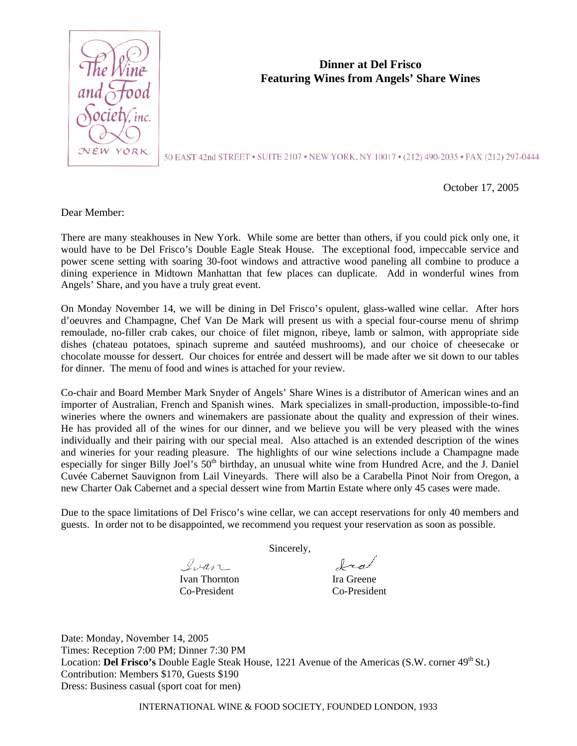

# **Dinner at Del Frisco Featuring Wines from Angels' Share Wines**

50 EAST 42nd STREET . SUITE 2107 . NEW YORK, NY 10017 . (212) 490-2035 . FAX (212) 297-0444

October 17, 2005

Dear Member:

There are many steakhouses in New York. While some are better than others, if you could pick only one, it would have to be Del Frisco's Double Eagle Steak House. The exceptional food, impeccable service and power scene setting with soaring 30-foot windows and attractive wood paneling all combine to produce a dining experience in Midtown Manhattan that few places can duplicate. Add in wonderful wines from Angels' Share, and you have a truly great event.

On Monday November 14, we will be dining in Del Frisco's opulent, glass-walled wine cellar. After hors d'oeuvres and Champagne, Chef Van De Mark will present us with a special four-course menu of shrimp remoulade, no-filler crab cakes, our choice of filet mignon, ribeye, lamb or salmon, with appropriate side dishes (chateau potatoes, spinach supreme and sautéed mushrooms), and our choice of cheesecake or chocolate mousse for dessert. Our choices for entrée and dessert will be made after we sit down to our tables for dinner. The menu of food and wines is attached for your review.

Co-chair and Board Member Mark Snyder of Angels' Share Wines is a distributor of American wines and an importer of Australian, French and Spanish wines. Mark specializes in small-production, impossible-to-find wineries where the owners and winemakers are passionate about the quality and expression of their wines. He has provided all of the wines for our dinner, and we believe you will be very pleased with the wines individually and their pairing with our special meal. Also attached is an extended description of the wines and wineries for your reading pleasure. The highlights of our wine selections include a Champagne made especially for singer Billy Joel's 50<sup>th</sup> birthday, an unusual white wine from Hundred Acre, and the J. Daniel Cuvée Cabernet Sauvignon from Lail Vineyards. There will also be a Carabella Pinot Noir from Oregon, a new Charter Oak Cabernet and a special dessert wine from Martin Estate where only 45 cases were made.

Due to the space limitations of Del Frisco's wine cellar, we can accept reservations for only 40 members and guests. In order not to be disappointed, we recommend you request your reservation as soon as possible.

Sincerely,

Ivan

fra

Ivan Thornton Ira Greene Co-President Co-President

Date: Monday, November 14, 2005 Times: Reception 7:00 PM; Dinner 7:30 PM Location: **Del Frisco's** Double Eagle Steak House, 1221 Avenue of the Americas (S.W. corner 49<sup>th</sup> St.) Contribution: Members \$170, Guests \$190 Dress: Business casual (sport coat for men)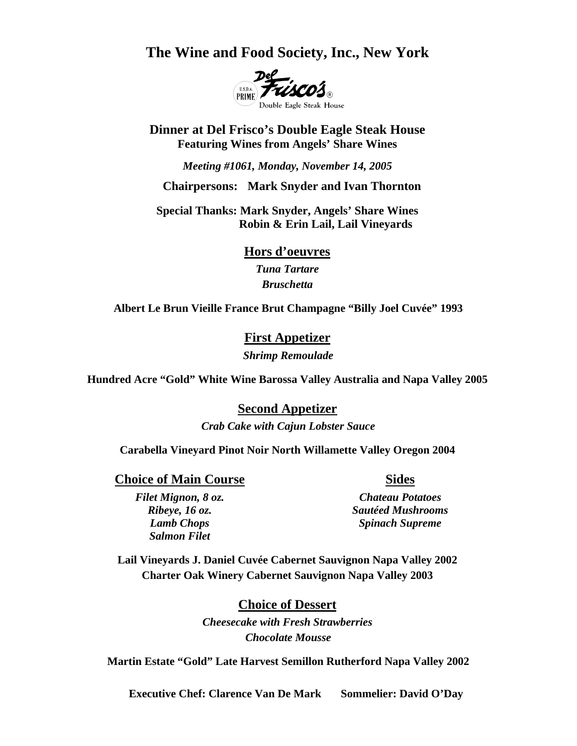**The Wine and Food Society, Inc., New York** 



**Dinner at Del Frisco's Double Eagle Steak House Featuring Wines from Angels' Share Wines** 

*Meeting #1061, Monday, November 14, 2005* 

 **Chairpersons: Mark Snyder and Ivan Thornton** 

**Special Thanks: Mark Snyder, Angels' Share Wines Robin & Erin Lail, Lail Vineyards** 

**Hors d'oeuvres**

*Tuna Tartare Bruschetta*

**Albert Le Brun Vieille France Brut Champagne "Billy Joel Cuvée" 1993** 

**First Appetizer** *Shrimp Remoulade* 

**Hundred Acre "Gold" White Wine Barossa Valley Australia and Napa Valley 2005** 

**Second Appetizer**

*Crab Cake with Cajun Lobster Sauce* 

**Carabella Vineyard Pinot Noir North Willamette Valley Oregon 2004** 

**Choice of Main Course Sides** Sides

*Salmon Filet* 

 *Filet Mignon, 8 oz. Chateau Potatoes Ribeye, 16 oz. Sautéed Mushrooms Lamb Chops* Spinach Supreme

**Lail Vineyards J. Daniel Cuvée Cabernet Sauvignon Napa Valley 2002 Charter Oak Winery Cabernet Sauvignon Napa Valley 2003** 

> **Choice of Dessert** *Cheesecake with Fresh Strawberries Chocolate Mousse*

**Martin Estate "Gold" Late Harvest Semillon Rutherford Napa Valley 2002** 

 **Executive Chef: Clarence Van De Mark Sommelier: David O'Day**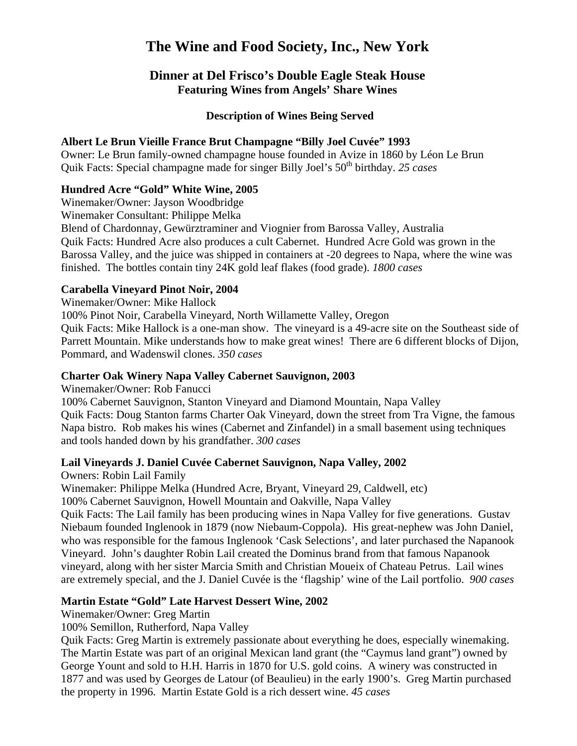# **The Wine and Food Society, Inc., New York**

# **Dinner at Del Frisco's Double Eagle Steak House Featuring Wines from Angels' Share Wines**

#### **Description of Wines Being Served**

#### **Albert Le Brun Vieille France Brut Champagne "Billy Joel Cuvée" 1993**

Owner: Le Brun family-owned champagne house founded in Avize in 1860 by Léon Le Brun Quik Facts: Special champagne made for singer Billy Joel's 50th birthday. *25 cases*

## **Hundred Acre "Gold" White Wine, 2005**

Winemaker/Owner: Jayson Woodbridge

Winemaker Consultant: Philippe Melka

Blend of Chardonnay, Gewürztraminer and Viognier from Barossa Valley, Australia Quik Facts: Hundred Acre also produces a cult Cabernet. Hundred Acre Gold was grown in the Barossa Valley, and the juice was shipped in containers at -20 degrees to Napa, where the wine was finished. The bottles contain tiny 24K gold leaf flakes (food grade). *1800 cases*

#### **Carabella Vineyard Pinot Noir, 2004**

Winemaker/Owner: Mike Hallock

100% Pinot Noir, Carabella Vineyard, North Willamette Valley, Oregon

Quik Facts: Mike Hallock is a one-man show. The vineyard is a 49-acre site on the Southeast side of Parrett Mountain. Mike understands how to make great wines! There are 6 different blocks of Dijon, Pommard, and Wadenswil clones. *350 cases*

## **Charter Oak Winery Napa Valley Cabernet Sauvignon, 2003**

Winemaker/Owner: Rob Fanucci

100% Cabernet Sauvignon, Stanton Vineyard and Diamond Mountain, Napa Valley Quik Facts: Doug Stanton farms Charter Oak Vineyard, down the street from Tra Vigne, the famous Napa bistro. Rob makes his wines (Cabernet and Zinfandel) in a small basement using techniques and tools handed down by his grandfather. *300 cases*

## **Lail Vineyards J. Daniel Cuvée Cabernet Sauvignon, Napa Valley, 2002**

Owners: Robin Lail Family

Winemaker: Philippe Melka (Hundred Acre, Bryant, Vineyard 29, Caldwell, etc) 100% Cabernet Sauvignon, Howell Mountain and Oakville, Napa Valley

Quik Facts: The Lail family has been producing wines in Napa Valley for five generations. Gustav Niebaum founded Inglenook in 1879 (now Niebaum-Coppola). His great-nephew was John Daniel, who was responsible for the famous Inglenook 'Cask Selections', and later purchased the Napanook Vineyard. John's daughter Robin Lail created the Dominus brand from that famous Napanook vineyard, along with her sister Marcia Smith and Christian Moueix of Chateau Petrus. Lail wines are extremely special, and the J. Daniel Cuvée is the 'flagship' wine of the Lail portfolio. *900 cases*

## **Martin Estate "Gold" Late Harvest Dessert Wine, 2002**

Winemaker/Owner: Greg Martin

100% Semillon, Rutherford, Napa Valley

Quik Facts: Greg Martin is extremely passionate about everything he does, especially winemaking. The Martin Estate was part of an original Mexican land grant (the "Caymus land grant") owned by George Yount and sold to H.H. Harris in 1870 for U.S. gold coins. A winery was constructed in 1877 and was used by Georges de Latour (of Beaulieu) in the early 1900's. Greg Martin purchased the property in 1996. Martin Estate Gold is a rich dessert wine. *45 cases*